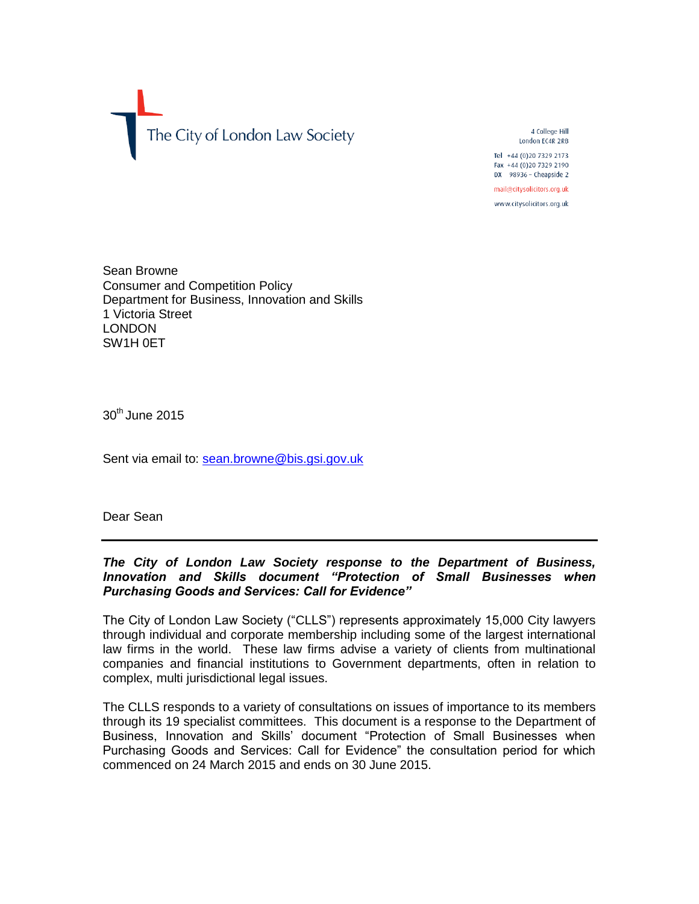

4 College Hill London EC4R 2RB Tel +44 (0) 20 7329 2173

Fax +44 (0)20 7329 2190 DX 98936 - Cheapside 2

mail@citysolicitors.org.uk

www.citysolicitors.org.uk

Sean Browne Consumer and Competition Policy Department for Business, Innovation and Skills 1 Victoria Street LONDON SW1H 0ET

 $30<sup>th</sup>$  June 2015

Sent via email to: [sean.browne@bis.gsi.gov.uk](mailto:sean.browne@bis.gsi.gov.uk)

Dear Sean

# *The City of London Law Society response to the Department of Business, Innovation and Skills document "Protection of Small Businesses when Purchasing Goods and Services: Call for Evidence"*

The City of London Law Society ("CLLS") represents approximately 15,000 City lawyers through individual and corporate membership including some of the largest international law firms in the world. These law firms advise a variety of clients from multinational companies and financial institutions to Government departments, often in relation to complex, multi jurisdictional legal issues.

The CLLS responds to a variety of consultations on issues of importance to its members through its 19 specialist committees. This document is a response to the Department of Business, Innovation and Skills' document "Protection of Small Businesses when Purchasing Goods and Services: Call for Evidence" the consultation period for which commenced on 24 March 2015 and ends on 30 June 2015.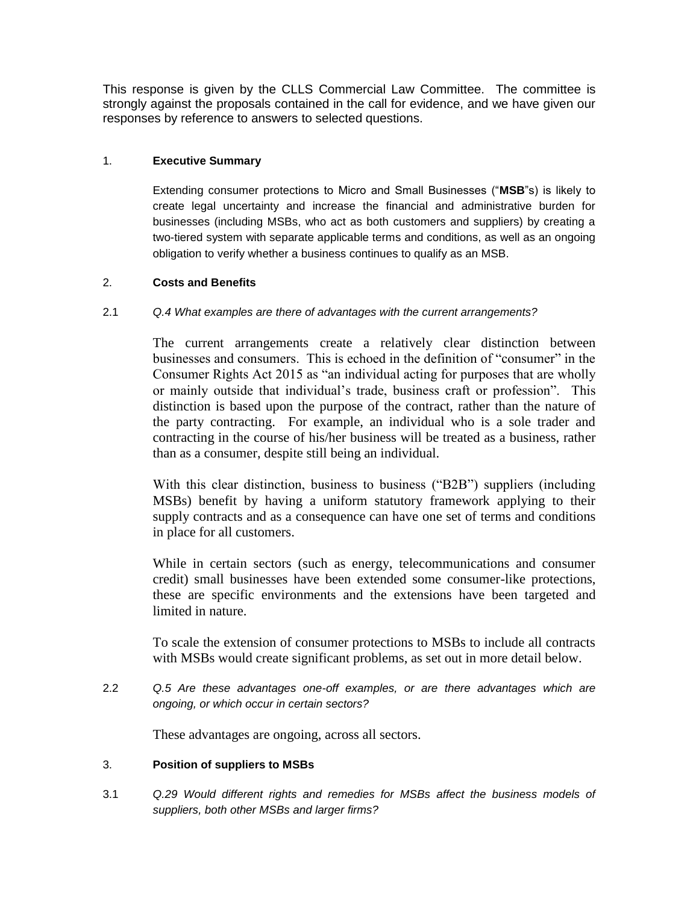This response is given by the CLLS Commercial Law Committee. The committee is strongly against the proposals contained in the call for evidence, and we have given our responses by reference to answers to selected questions.

# 1. **Executive Summary**

Extending consumer protections to Micro and Small Businesses ("**MSB**"s) is likely to create legal uncertainty and increase the financial and administrative burden for businesses (including MSBs, who act as both customers and suppliers) by creating a two-tiered system with separate applicable terms and conditions, as well as an ongoing obligation to verify whether a business continues to qualify as an MSB.

# 2. **Costs and Benefits**

# 2.1 *Q.4 What examples are there of advantages with the current arrangements?*

The current arrangements create a relatively clear distinction between businesses and consumers. This is echoed in the definition of "consumer" in the Consumer Rights Act 2015 as "an individual acting for purposes that are wholly or mainly outside that individual's trade, business craft or profession". This distinction is based upon the purpose of the contract, rather than the nature of the party contracting. For example, an individual who is a sole trader and contracting in the course of his/her business will be treated as a business, rather than as a consumer, despite still being an individual.

With this clear distinction, business to business ("B2B") suppliers (including MSBs) benefit by having a uniform statutory framework applying to their supply contracts and as a consequence can have one set of terms and conditions in place for all customers.

While in certain sectors (such as energy, telecommunications and consumer credit) small businesses have been extended some consumer-like protections, these are specific environments and the extensions have been targeted and limited in nature.

To scale the extension of consumer protections to MSBs to include all contracts with MSBs would create significant problems, as set out in more detail below.

2.2 *Q.5 Are these advantages one-off examples, or are there advantages which are ongoing, or which occur in certain sectors?*

These advantages are ongoing, across all sectors.

### 3. **Position of suppliers to MSBs**

3.1 *Q.29 Would different rights and remedies for MSBs affect the business models of suppliers, both other MSBs and larger firms?*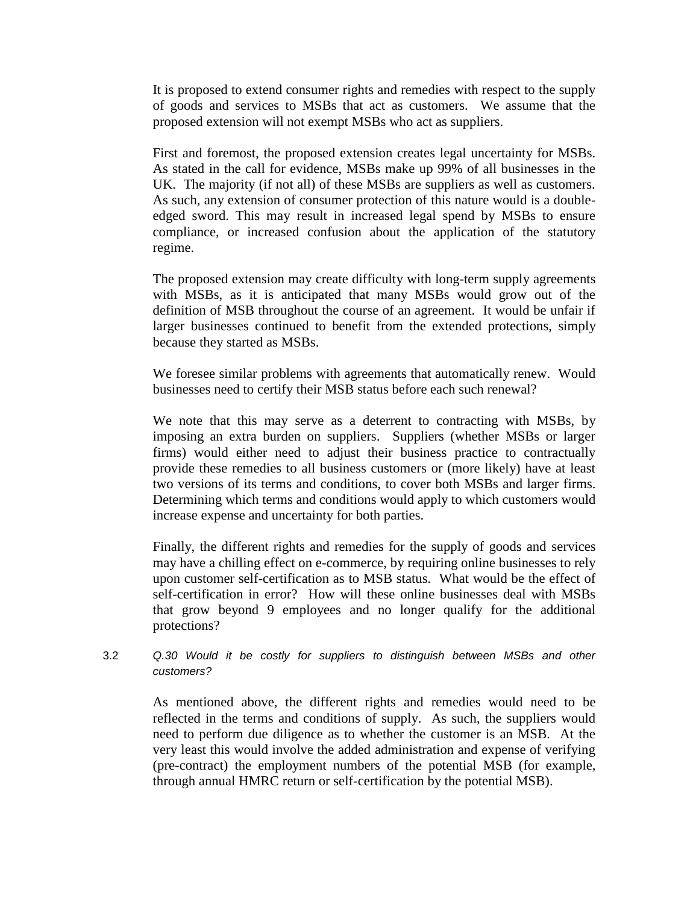It is proposed to extend consumer rights and remedies with respect to the supply of goods and services to MSBs that act as customers. We assume that the proposed extension will not exempt MSBs who act as suppliers.

First and foremost, the proposed extension creates legal uncertainty for MSBs. As stated in the call for evidence, MSBs make up 99% of all businesses in the UK. The majority (if not all) of these MSBs are suppliers as well as customers. As such, any extension of consumer protection of this nature would is a doubleedged sword. This may result in increased legal spend by MSBs to ensure compliance, or increased confusion about the application of the statutory regime.

The proposed extension may create difficulty with long-term supply agreements with MSBs, as it is anticipated that many MSBs would grow out of the definition of MSB throughout the course of an agreement. It would be unfair if larger businesses continued to benefit from the extended protections, simply because they started as MSBs.

We foresee similar problems with agreements that automatically renew. Would businesses need to certify their MSB status before each such renewal?

We note that this may serve as a deterrent to contracting with MSBs, by imposing an extra burden on suppliers. Suppliers (whether MSBs or larger firms) would either need to adjust their business practice to contractually provide these remedies to all business customers or (more likely) have at least two versions of its terms and conditions, to cover both MSBs and larger firms. Determining which terms and conditions would apply to which customers would increase expense and uncertainty for both parties.

Finally, the different rights and remedies for the supply of goods and services may have a chilling effect on e-commerce, by requiring online businesses to rely upon customer self-certification as to MSB status. What would be the effect of self-certification in error? How will these online businesses deal with MSBs that grow beyond 9 employees and no longer qualify for the additional protections?

3.2 *Q.30 Would it be costly for suppliers to distinguish between MSBs and other customers?*

As mentioned above, the different rights and remedies would need to be reflected in the terms and conditions of supply. As such, the suppliers would need to perform due diligence as to whether the customer is an MSB. At the very least this would involve the added administration and expense of verifying (pre-contract) the employment numbers of the potential MSB (for example, through annual HMRC return or self-certification by the potential MSB).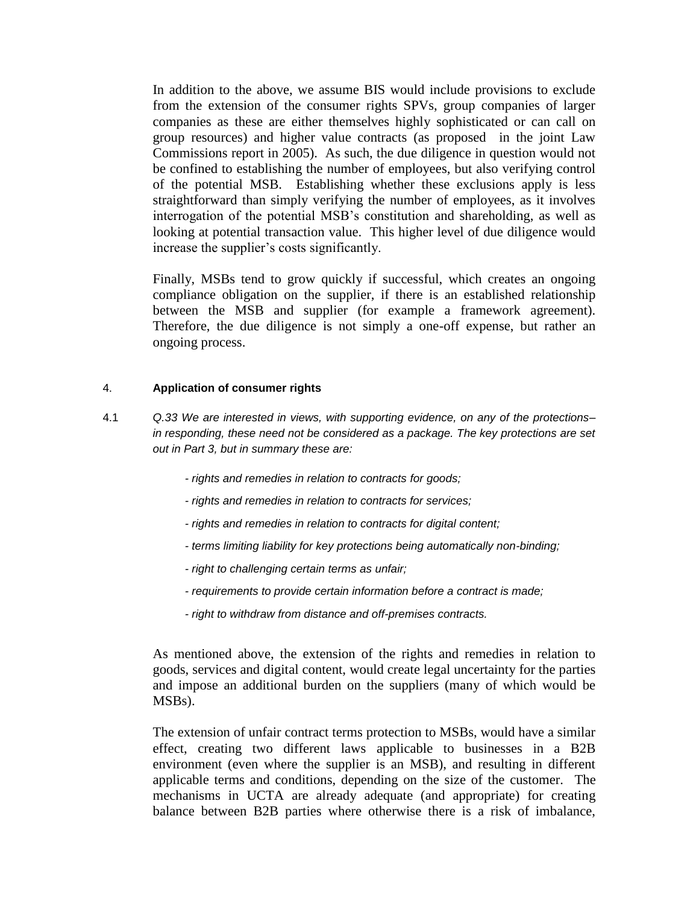In addition to the above, we assume BIS would include provisions to exclude from the extension of the consumer rights SPVs, group companies of larger companies as these are either themselves highly sophisticated or can call on group resources) and higher value contracts (as proposed in the joint Law Commissions report in 2005). As such, the due diligence in question would not be confined to establishing the number of employees, but also verifying control of the potential MSB. Establishing whether these exclusions apply is less straightforward than simply verifying the number of employees, as it involves interrogation of the potential MSB's constitution and shareholding, as well as looking at potential transaction value. This higher level of due diligence would increase the supplier's costs significantly.

Finally, MSBs tend to grow quickly if successful, which creates an ongoing compliance obligation on the supplier, if there is an established relationship between the MSB and supplier (for example a framework agreement). Therefore, the due diligence is not simply a one-off expense, but rather an ongoing process.

#### 4. **Application of consumer rights**

- 4.1 *Q.33 We are interested in views, with supporting evidence, on any of the protections– in responding, these need not be considered as a package. The key protections are set out in Part 3, but in summary these are:*
	- *- rights and remedies in relation to contracts for goods;*
	- *- rights and remedies in relation to contracts for services;*
	- *- rights and remedies in relation to contracts for digital content;*
	- *- terms limiting liability for key protections being automatically non-binding;*
	- *- right to challenging certain terms as unfair;*
	- *- requirements to provide certain information before a contract is made;*
	- *- right to withdraw from distance and off-premises contracts.*

As mentioned above, the extension of the rights and remedies in relation to goods, services and digital content, would create legal uncertainty for the parties and impose an additional burden on the suppliers (many of which would be MSBs).

The extension of unfair contract terms protection to MSBs, would have a similar effect, creating two different laws applicable to businesses in a B2B environment (even where the supplier is an MSB), and resulting in different applicable terms and conditions, depending on the size of the customer. The mechanisms in UCTA are already adequate (and appropriate) for creating balance between B2B parties where otherwise there is a risk of imbalance,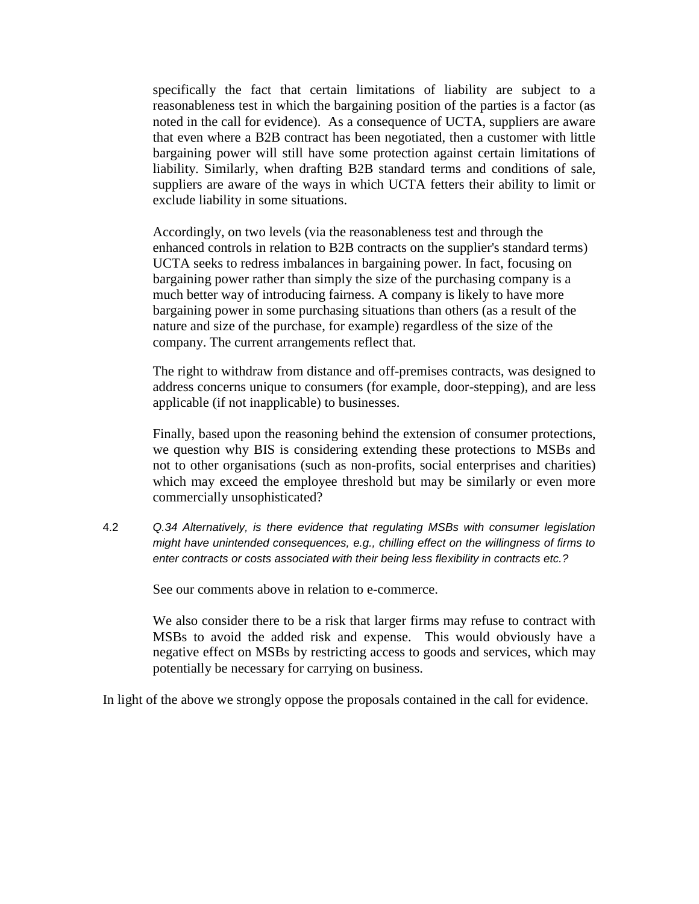specifically the fact that certain limitations of liability are subject to a reasonableness test in which the bargaining position of the parties is a factor (as noted in the call for evidence). As a consequence of UCTA, suppliers are aware that even where a B2B contract has been negotiated, then a customer with little bargaining power will still have some protection against certain limitations of liability. Similarly, when drafting B2B standard terms and conditions of sale, suppliers are aware of the ways in which UCTA fetters their ability to limit or exclude liability in some situations.

Accordingly, on two levels (via the reasonableness test and through the enhanced controls in relation to B2B contracts on the supplier's standard terms) UCTA seeks to redress imbalances in bargaining power. In fact, focusing on bargaining power rather than simply the size of the purchasing company is a much better way of introducing fairness. A company is likely to have more bargaining power in some purchasing situations than others (as a result of the nature and size of the purchase, for example) regardless of the size of the company. The current arrangements reflect that.

The right to withdraw from distance and off-premises contracts, was designed to address concerns unique to consumers (for example, door-stepping), and are less applicable (if not inapplicable) to businesses.

Finally, based upon the reasoning behind the extension of consumer protections, we question why BIS is considering extending these protections to MSBs and not to other organisations (such as non-profits, social enterprises and charities) which may exceed the employee threshold but may be similarly or even more commercially unsophisticated?

4.2 *Q.34 Alternatively, is there evidence that regulating MSBs with consumer legislation might have unintended consequences, e.g., chilling effect on the willingness of firms to enter contracts or costs associated with their being less flexibility in contracts etc.?*

See our comments above in relation to e-commerce.

We also consider there to be a risk that larger firms may refuse to contract with MSBs to avoid the added risk and expense. This would obviously have a negative effect on MSBs by restricting access to goods and services, which may potentially be necessary for carrying on business.

In light of the above we strongly oppose the proposals contained in the call for evidence.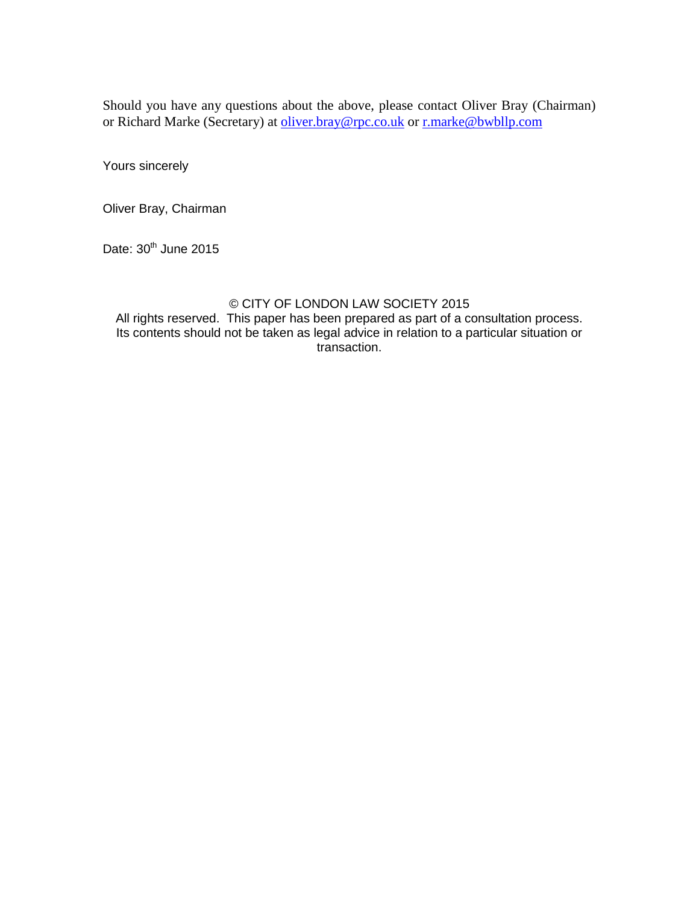Should you have any questions about the above, please contact Oliver Bray (Chairman) or Richard Marke (Secretary) at [oliver.bray@rpc.co.uk](mailto:oliver.bray@rpc.co.uk) or [r.marke@bwbllp.com](mailto:r.marke@bwbllp.com)

Yours sincerely

Oliver Bray, Chairman

Date:  $30<sup>th</sup>$  June 2015

### © CITY OF LONDON LAW SOCIETY 2015

All rights reserved. This paper has been prepared as part of a consultation process. Its contents should not be taken as legal advice in relation to a particular situation or transaction.